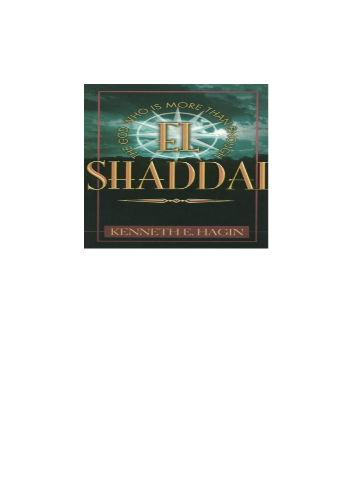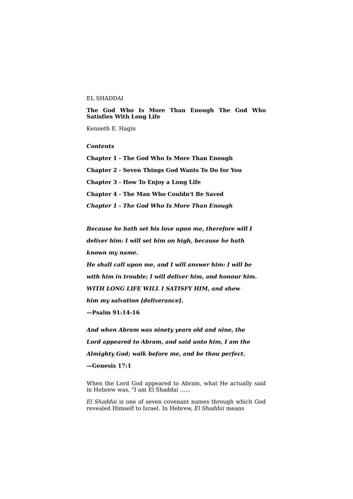# EL SHADDAI

**The God Who Is More Than Enough The God Who Satisfies With Long Life**

Kenneth E. Hagin

*Contents*

**Chapter 1 - The God Who Is More Than Enough Chapter 2 - Seven Things God Wants To Do for You Chapter 3 - How To Enjoy a Long Life Chapter 4 - The Man Who Couldn't Be Saved** *Chapter 1 - The God Who Is More Than Enough*

*Because he hath set his love upon me, therefore will I deliver him: I will set him on high, because he hath known my name.*

*He shall call upon me, and I will answer him: I will be with him in trouble; I will deliver him, and honour him. WITH LONG LIFE WILL I SATISFY HIM, and shew him my salvation [deliverance].*

**—Psalm 91:14-16**

*And when Abram was ninety years old and nine, the Lord appeared to Abram, and said unto him, I am the Almighty God; walk before me, and be thou perfect.* **—Genesis 17:1**

When the Lord God appeared to Abram, what He actually said in Hebrew was, "I am El Shaddai ......

*El Shaddai* is one of seven covenant names through which God revealed Himself to Israel. In Hebrew, *El Shaddai* means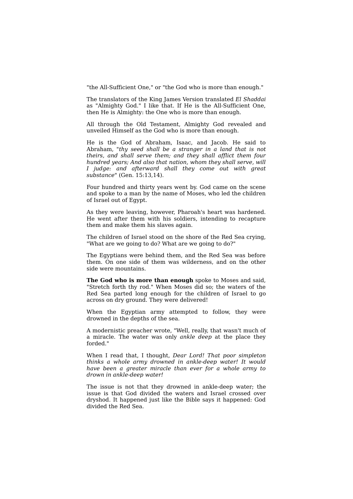"the All-Sufficient One," or "the God who is more than enough."

The translators of the King James Version translated *El Shaddai* as "Almighty God." I like that. If He is the All-Sufficient One, then He is Almighty: the One who is more than enough.

All through the Old Testament, Almighty God revealed and unveiled Himself as the God who is more than enough.

He is the God of Abraham, Isaac, and Jacob. He said to Abraham, *"thy seed shall be a stranger in a land that is not theirs, and shall serve them; and they shall afflict them four hundred years; And also that nation, whom they shall serve, will I judge: and afterward shall they come out with great substance"* (Gen. 15:13,14).

Four hundred and thirty years went by. God came on the scene and spoke to a man by the name of Moses, who led the children of Israel out of Egypt.

As they were leaving, however, Pharoah's heart was hardened. He went after them with his soldiers, intending to recapture them and make them his slaves again.

The children of Israel stood on the shore of the Red Sea crying, "What are we going to do? What are we going to do?"

The Egyptians were behind them, and the Red Sea was before them. On one side of them was wilderness, and on the other side were mountains.

**The God who is more than enough** spoke to Moses and said, "Stretch forth thy rod." When Moses did so; the waters of the Red Sea parted long enough for the children of Israel to go across on dry ground. They were delivered!

When the Egyptian army attempted to follow, they were drowned in the depths of the sea.

A modernistic preacher wrote, "Well, really, that wasn't much of a miracle. The water was only *ankle deep* at the place they forded."

When I read that, I thought, *Dear Lord! That poor simpleton thinks a whole army drowned in ankle-deep water! It would have been a greater miracle than ever for a whole army to drown in ankle-deep water!*

The issue is not that they drowned in ankle-deep water; the issue is that God divided the waters and Israel crossed over dryshod. It happened just like the Bible says it happened: God divided the Red Sea.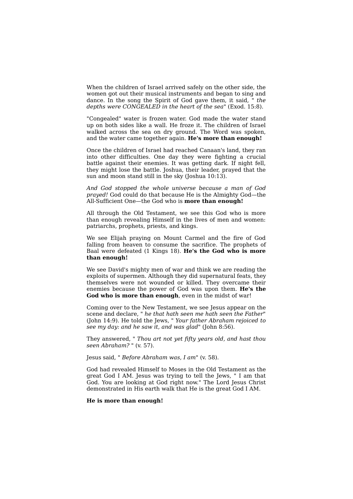When the children of Israel arrived safely on the other side, the women got out their musical instruments and began to sing and dance. In the song the Spirit of God gave them, it said, " *the depths were CONGEALED in the heart of the sea*" (Exod. 15:8).

"Congealed" water is frozen water. God made the water stand up on both sides like a wall. He froze it. The children of Israel walked across the sea on dry ground. The Word was spoken, and the water came together again. **He's more than enough!**

Once the children of Israel had reached Canaan's land, they ran into other difficulties. One day they were fighting a crucial battle against their enemies. It was getting dark. If night fell, they might lose the battle. Joshua, their leader, prayed that the sun and moon stand still in the sky (Joshua 10:13).

*And God stopped the whole universe because a man of God prayed!* God could do that because He is the Almighty God—the All-Sufficient One—the God who is **more than enough!**

All through the Old Testament, we see this God who is more than enough revealing Himself in the lives of men and women: patriarchs, prophets, priests, and kings.

We see Elijah praying on Mount Carmel and the fire of God falling from heaven to consume the sacrifice. The prophets of Baal were defeated (1 Kings 18). **He's the God who is more than enough!**

We see David's mighty men of war and think we are reading the exploits of supermen. Although they did supernatural feats, they themselves were not wounded or killed. They overcame their enemies because the power of God was upon them. **He's the God who is more than enough**, even in the midst of war!

Coming over to the New Testament, we see Jesus appear on the scene and declare, " *he that hath seen me hath seen the Father*" (John 14:9). He told the Jews, " *Your father Abraham rejoiced to see my day: and he saw it, and was glad*" (John 8:56).

They answered, " *Thou art not yet fifty years old, and hast thou seen Abraham?* " (v. 57).

Jesus said, " *Before Abraham was, I am*" (v. 58).

God had revealed Himself to Moses in the Old Testament as the great God I AM. Jesus was trying to tell the Jews, " I am that God. You are looking at God right now." The Lord Jesus Christ demonstrated in His earth walk that He is the great God I AM.

#### **He is more than enough!**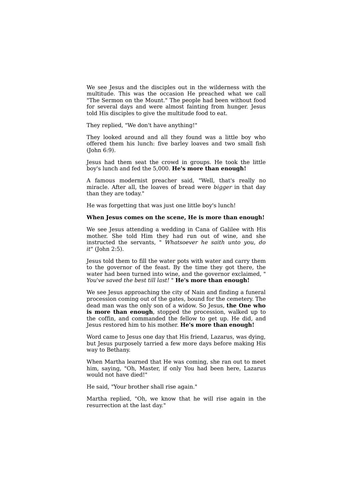We see Jesus and the disciples out in the wilderness with the multitude. This was the occasion He preached what we call "The Sermon on the Mount." The people had been without food for several days and were almost fainting from hunger. Jesus told His disciples to give the multitude food to eat.

They replied, "We don't have anything!"

They looked around and all they found was a little boy who offered them his lunch: five barley loaves and two small fish (John 6:9).

Jesus had them seat the crowd in groups. He took the little boy's lunch and fed the 5,000. **He's more than enough!**

A famous modernist preacher said, "Well, that's really no miracle. After all, the loaves of bread were *bigger* in that day than they are today."

He was forgetting that was just one little boy's lunch!

# **When Jesus comes on the scene, He is more than enough!**

We see Jesus attending a wedding in Cana of Galilee with His mother. She told Him they had run out of wine, and she instructed the servants, " *Whatsoever he saith unto you, do it*" (John 2:5).

Jesus told them to fill the water pots with water and carry them to the governor of the feast. By the time they got there, the water had been turned into wine, and the governor exclaimed, " *You've saved the best till last!* " **He's more than enough!**

We see Jesus approaching the city of Nain and finding a funeral procession coming out of the gates, bound for the cemetery. The dead man was the only son of a widow. So Jesus, **the One who is more than enough**, stopped the procession, walked up to the coffin, and commanded the fellow to get up. He did, and Jesus restored him to his mother. **He's more than enough!**

Word came to Jesus one day that His friend, Lazarus, was dying, but Jesus purposely tarried a few more days before making His way to Bethany.

When Martha learned that He was coming, she ran out to meet him, saying, "Oh, Master, if only You had been here, Lazarus would not have died!"

He said, "Your brother shall rise again."

Martha replied, "Oh, we know that he will rise again in the resurrection at the last day."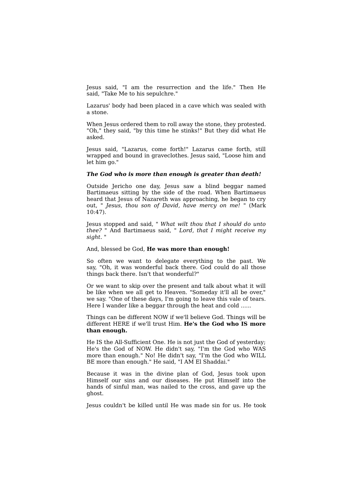Jesus said, "I am the resurrection and the life." Then He said, "Take Me to his sepulchre."

Lazarus' body had been placed in a cave which was sealed with a stone.

When Jesus ordered them to roll away the stone, they protested. "Oh," they said, "by this time he stinks!" But they did what He asked.

Jesus said, "Lazarus, come forth!" Lazarus came forth, still wrapped and bound in graveclothes. Jesus said, "Loose him and let him go."

### *The God who is more than enough is greater than death!*

Outside Jericho one day, Jesus saw a blind beggar named Bartimaeus sitting by the side of the road. When Bartimaeus heard that Jesus of Nazareth was approaching, he began to cry out, " *Jesus, thou son of David, have mercy on me!* " (Mark 10:47).

Jesus stopped and said, " *What wilt thou that I should do unto thee?* " And Bartimaeus said, " *Lord, that I might receive my sight.* "

## And, blessed be God, **He was more than enough!**

So often we want to delegate everything to the past. We say, "Oh, it was wonderful back there. God could do all those things back there. Isn't that wonderful?"

Or we want to skip over the present and talk about what it will be like when we all get to Heaven. "Someday it'll all be over," we say. "One of these days, I'm going to leave this vale of tears. Here I wander like a beggar through the heat and cold ......

Things can be different NOW if we'll believe God. Things will be different HERE if we'll trust Him. **He's the God who IS more than enough.**

He IS the All-Sufficient One. He is not just the God of yesterday; He's the God of NOW. He didn't say, "I'm the God who WAS more than enough." No! He didn't say, "I'm the God who WILL BE more than enough." He said, "I AM El Shaddai."

Because it was in the divine plan of God, Jesus took upon Himself our sins and our diseases. He put Himself into the hands of sinful man, was nailed to the cross, and gave up the ghost.

Jesus couldn't be killed until He was made sin for us. He took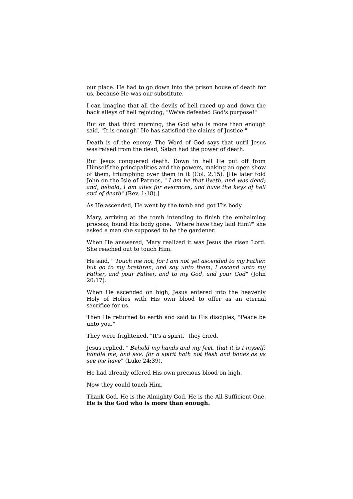our place. He had to go down into the prison house of death for us, because He was our substitute.

I can imagine that all the devils of hell raced up and down the back alleys of hell rejoicing, "We've defeated God's purpose!"

But on that third morning, the God who is more than enough said, "It is enough! He has satisfied the claims of Justice."

Death is of the enemy. The Word of God says that until Jesus was raised from the dead, Satan had the power of death.

But Jesus conquered death. Down in hell He put off from Himself the principalities and the powers, making an open show of them, triumphing over them in it (Col. 2:15). [He later told John on the Isle of Patmos, " *I am he that liveth, and was dead; and, behold, I am alive for evermore, and have the keys of hell and of death*" (Rev. 1:18).]

As He ascended, He went by the tomb and got His body.

Mary, arriving at the tomb intending to finish the embalming process, found His body gone. "Where have they laid Him?" she asked a man she supposed to be the gardener.

When He answered, Mary realized it was Jesus the risen Lord. She reached out to touch Him.

He said, " *Touch me not, for I am not yet ascended to my Father. but go to my brethren, and say unto them, I ascend unto my Father, and your Father, and to my God, and your God*" (John 20:17).

When He ascended on high, Jesus entered into the heavenly Holy of Holies with His own blood to offer as an eternal sacrifice for us.

Then He returned to earth and said to His disciples, "Peace be unto you."

They were frightened. "It's a spirit," they cried.

Jesus replied, " *Behold my hands and my feet, that it is I myself: handle me, and see: for a spirit hath not flesh and bones as ye see me have*" (Luke 24:39).

He had already offered His own precious blood on high.

Now they could touch Him.

Thank God, He is the Almighty God. He is the All-Sufficient One. **He is the God who is more than enough.**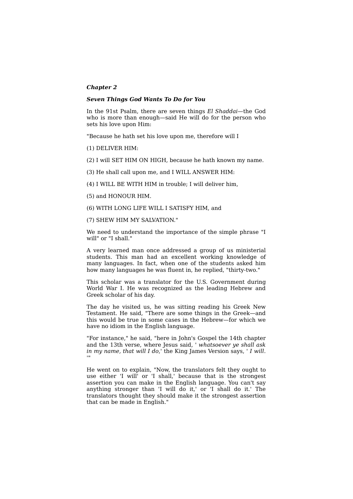# *Chapter 2*

#### *Seven Things God Wants To Do for You*

In the 91st Psalm, there are seven things *El Shaddai*—the God who is more than enough—said He will do for the person who sets his love upon Him:

"Because he hath set his love upon me, therefore will I

- (1) DELIVER HIM:
- (2) I will SET HIM ON HIGH, because he hath known my name.
- (3) He shall call upon me, and I WILL ANSWER HIM:
- (4) I WILL BE WITH HIM in trouble; I will deliver him,
- (5) and HONOUR HIM.
- (6) WITH LONG LIFE WILL I SATISFY HIM, and
- (7) SHEW HIM MY SALVATION."

We need to understand the importance of the simple phrase "I will" or "I shall."

A very learned man once addressed a group of us ministerial students. This man had an excellent working knowledge of many languages. In fact, when one of the students asked him how many languages he was fluent in, he replied, "thirty-two."

This scholar was a translator for the U.S. Government during World War I. He was recognized as the leading Hebrew and Greek scholar of his day.

The day he visited us, he was sitting reading his Greek New Testament. He said, "There are some things in the Greek—and this would be true in some cases in the Hebrew—for which we have no idiom in the English language.

"For instance," he said, "here in John's Gospel the 14th chapter and the 13th verse, where Jesus said, ' *whatsoever ye shall ask in my name, that will I do*,' the King James Version says, ' *I will.* '"

He went on to explain, "Now, the translators felt they ought to use either 'I will' or 'I shall,' because that is the strongest assertion you can make in the English language. You can't say anything stronger than 'I will do it,' or 'I shall do it.' The translators thought they should make it the strongest assertion that can be made in English."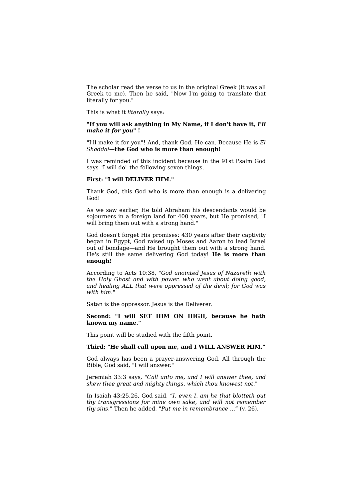The scholar read the verse to us in the original Greek (it was all Greek to me). Then he said, "Now I'm going to translate that literally for you."

This is what it *literally* says:

# **"If you will ask anything in My Name, if I don't have it,** *I'll make it for you"* **!**

"I'll make it for you"! And, thank God, He can. Because He is *El Shaddai*—**the God who is more than enough!**

I was reminded of this incident because in the 91st Psalm God says "I will do" the following seven things.

## **First: "I will DELIVER HIM."**

Thank God, this God who is more than enough is a delivering God!

As we saw earlier, He told Abraham his descendants would be sojourners in a foreign land for 400 years, but He promised, "I will bring them out with a strong hand."

God doesn't forget His promises: 430 years after their captivity began in Egypt, God raised up Moses and Aaron to lead Israel out of bondage—and He brought them out with a strong hand. He's still the same delivering God today! **He is more than enough!**

According to Acts 10:38, *"God anointed Jesus of Nazareth with the Holy Ghost and with power. who went about doing good, and healing ALL that were oppressed of the devil; for God was with him."*

Satan is the oppressor. Jesus is the Deliverer.

## **Second: "I will SET HIM ON HIGH, because he hath known my name."**

This point will be studied with the fifth point.

# **Third: "He shall call upon me, and I WILL ANSWER HIM."**

God always has been a prayer-answering God. All through the Bible, God said, "I will answer."

Jeremiah 33:3 says, *"Call unto me, and I will answer thee, and shew thee great and mighty things, which thou knowest not."*

In Isaiah 43:25,26, God said, "*I, even I, am he that blotteth out thy transgressions for mine own sake, and will not remember thy sins."* Then he added, *"Put me in remembrance ..."* (v. 26).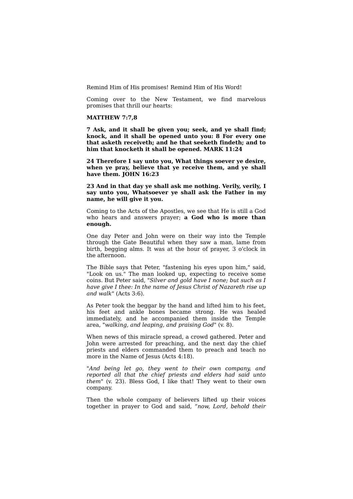Remind Him of His promises! Remind Him of His Word!

Coming over to the New Testament, we find marvelous promises that thrill our hearts:

#### **MATTHEW 7:7,8**

**7 Ask, and it shall be given you; seek, and ye shall find; knock, and it shall be opened unto you: 8 For every one that asketh receiveth; and he that seeketh findeth; and to him that knocketh it shall be opened. MARK 11:24**

**24 Therefore I say unto you, What things soever ye desire, when ye pray, believe that ye receive them, and ye shall have them. JOHN 16:23**

**23 And in that day ye shall ask me nothing. Verily, verily, I say unto you, Whatsoever ye shall ask the Father in my name, he will give it you.**

Coming to the Acts of the Apostles, we see that He is still a God who hears and answers prayer; **a God who is more than enough.**

One day Peter and John were on their way into the Temple through the Gate Beautiful when they saw a man, lame from birth, begging alms. It was at the hour of prayer, 3 o'clock in the afternoon.

The Bible says that Peter, "fastening his eyes upon him," said, "Look on us." The man looked up, expecting to receive some coins. But Peter said, *"Silver and gold have I none; but such as I have give I thee: In the name of Jesus Christ of Nazareth rise up and walk"* (Acts 3:6).

As Peter took the beggar by the hand and lifted him to his feet, his feet and ankle bones became strong. He was healed immediately, and he accompanied them inside the Temple area, *"walking, and leaping, and praising God"* (v. 8).

When news of this miracle spread, a crowd gathered. Peter and John were arrested for preaching, and the next day the chief priests and elders commanded them to preach and teach no more in the Name of Jesus (Acts 4:18).

*"And being let go, they went to their own company, and reported all that the chief priests and elders had said unto them"* (v. 23). Bless God, I like that! They went to their own company.

Then the whole company of believers lifted up their voices together in prayer to God and said, *"now, Lord, behold their*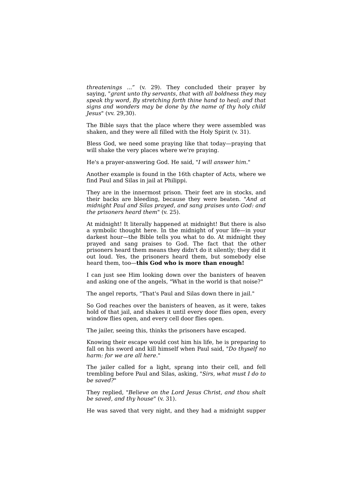*threatenings ..."* (v. 29). They concluded their prayer by saying, *"grant unto thy servants, that with all boldness they may speak thy word, By stretching forth thine hand to heal; and that signs and wonders may be done by the name of thy holy child Jesus"* (vv. 29,30).

The Bible says that the place where they were assembled was shaken, and they were all filled with the Holy Spirit (v. 31).

Bless God, we need some praying like that today—praying that will shake the very places where we're praying.

He's a prayer-answering God. He said, *"I will answer him."*

Another example is found in the 16th chapter of Acts, where we find Paul and Silas in jail at Philippi.

They are in the innermost prison. Their feet are in stocks, and their backs are bleeding, because they were beaten. *"And at midnight Paul and Silas prayed, and sang praises unto God: and the prisoners heard them"* (v. 25).

At midnight! It literally happened at midnight! But there is also a symbolic thought here. In the midnight of your life—in your darkest hour—the Bible tells you what to do. At midnight they prayed and sang praises to God. The fact that the other prisoners heard them means they didn't do it silently; they did it out loud. Yes, the prisoners heard them, but somebody else heard them, too—**this God who is more than enough!**

I can just see Him looking down over the banisters of heaven and asking one of the angels, "What in the world is that noise?"

The angel reports, "That's Paul and Silas down there in jail."

So God reaches over the banisters of heaven, as it were, takes hold of that jail, and shakes it until every door flies open, every window flies open, and every cell door flies open.

The jailer, seeing this, thinks the prisoners have escaped.

Knowing their escape would cost him his life, he is preparing to fall on his sword and kill himself when Paul said, *"Do thyself no harm: for we are all here."*

The jailer called for a light, sprang into their cell, and fell trembling before Paul and Silas, asking, *"Sirs, what must I do to be saved?"*

They replied, *"Believe on the Lord Jesus Christ, and thou shalt be saved, and thy house"* (v. 31).

He was saved that very night, and they had a midnight supper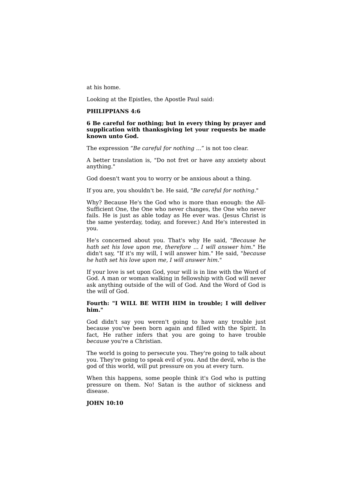at his home.

Looking at the Epistles, the Apostle Paul said:

#### **PHILIPPIANS 4:6**

## **6 Be careful for nothing; but in every thing by prayer and supplication with thanksgiving let your requests be made known unto God.**

The expression *"Be careful for nothing ..."* is not too clear.

A better translation is, "Do not fret or have any anxiety about anything."

God doesn't want you to worry or be anxious about a thing.

If you are, you shouldn't be. He said, *"Be careful for nothing."*

Why? Because He's the God who is more than enough: the All-Sufficient One, the One who never changes, the One who never fails. He is just as able today as He ever was. (Jesus Christ is the same yesterday, today, and forever.) And He's interested in you.

He's concerned about you. That's why He said, *"Because he hath set his love upon me, therefore ... I will answer him."* He didn't say, "If it's my will, I will answer him." He said, *"because he hath set his love upon me, I will answer him."*

If your love is set upon God, your will is in line with the Word of God. A man or woman walking in fellowship with God will never ask anything outside of the will of God. And the Word of God is the will of God.

# **Fourth: "I WILL BE WITH HIM in trouble; I will deliver him."**

God didn't say you weren't going to have any trouble just because you've been born again and filled with the Spirit. In fact, He rather infers that you are going to have trouble *because* you're a Christian.

The world is going to persecute you. They're going to talk about you. They're going to speak evil of you. And the devil, who is the god of this world, will put pressure on you at every turn.

When this happens, some people think it's God who is putting pressure on them. No! Satan is the author of sickness and disease.

# **JOHN 10:10**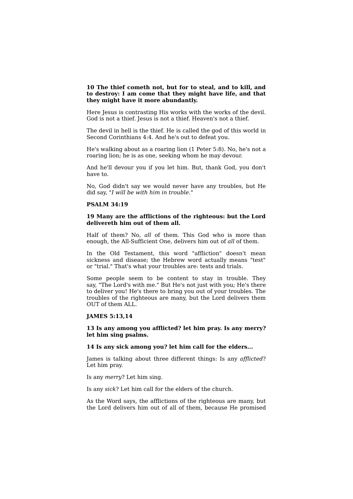## **10 The thief cometh not, but for to steal, and to kill, and to destroy: I am come that they might have life, and that they might have it more abundantly.**

Here Jesus is contrasting His works with the works of the devil. God is not a thief. Jesus is not a thief. Heaven's not a thief.

The devil in hell is the thief. He is called the god of this world in Second Corinthians 4:4. And he's out to defeat you.

He's walking about as a roaring lion (1 Peter 5:8). No, he's not a roaring lion; he is as one, seeking whom he may devour.

And he'll devour you if you let him. But, thank God, you don't have to.

No, God didn't say we would never have any troubles, but He did say, *"I will be with him in trouble."*

## **PSALM 34:19**

# **19 Many are the afflictions of the righteous: but the Lord delivereth him out of them all.**

Half of them? No, *all* of them. This God who is more than enough, the All-Sufficient One, delivers him out of *all* of them.

In the Old Testament, this word "affliction" doesn't mean sickness and disease; the Hebrew word actually means "test" or "trial." That's what your troubles are: tests and trials.

Some people seem to be content to stay in trouble. They say, "The Lord's with me." But He's not just with you; He's there to deliver you! He's there to bring you out of your troubles. The troubles of the righteous are many, but the Lord delivers them OUT of them ALL.

# **JAMES 5:13,14**

# **13 Is any among you afflicted? let him pray. Is any merry? let him sing psalms.**

# **14 Is any sick among you? let him call for the elders...**

James is talking about three different things: Is any *afflicted*? Let him pray.

Is any *merry*? Let him sing.

Is any *sick*? Let him call for the elders of the church.

As the Word says, the afflictions of the righteous are many, but the Lord delivers him out of all of them, because He promised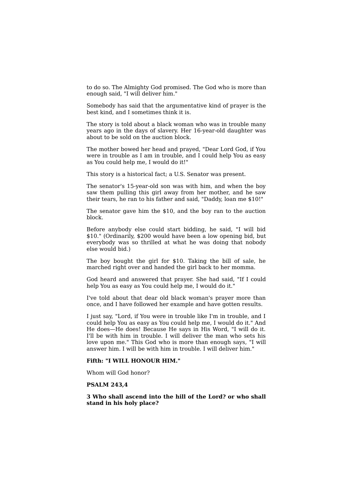to do so. The Almighty God promised. The God who is more than enough said, "I will deliver him."

Somebody has said that the argumentative kind of prayer is the best kind, and I sometimes think it is.

The story is told about a black woman who was in trouble many years ago in the days of slavery. Her 16-year-old daughter was about to be sold on the auction block.

The mother bowed her head and prayed, "Dear Lord God, if You were in trouble as I am in trouble, and I could help You as easy as You could help me, I would do it!"

This story is a historical fact; a U.S. Senator was present.

The senator's 15-year-old son was with him, and when the boy saw them pulling this girl away from her mother, and he saw their tears, he ran to his father and said, "Daddy, loan me \$10!"

The senator gave him the \$10, and the boy ran to the auction block.

Before anybody else could start bidding, he said, "I will bid \$10." (Ordinarily, \$200 would have been a low opening bid, but everybody was so thrilled at what he was doing that nobody else would bid.)

The boy bought the girl for \$10. Taking the bill of sale, he marched right over and handed the girl back to her momma.

God heard and answered that prayer. She had said, "If I could help You as easy as You could help me, I would do it."

I've told about that dear old black woman's prayer more than once, and I have followed her example and have gotten results.

I just say, "Lord, if You were in trouble like I'm in trouble, and I could help You as easy as You could help me, I would do it." And He does—He does! Because He says in His Word, "I will do it. I'll be with him in trouble. I will deliver the man who sets his love upon me." This God who is more than enough says, "I will answer him. I will be with him in trouble. I will deliver him."

#### **Fifth: "I WILL HONOUR HIM."**

Whom will God honor?

#### **PSALM 243,4**

**3 Who shall ascend into the hill of the Lord? or who shall stand in his holy place?**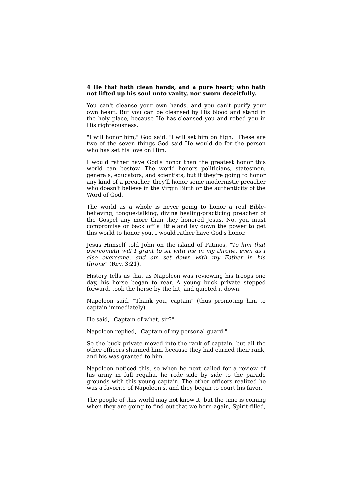## **4 He that hath clean hands, and a pure heart; who hath not lifted up his soul unto vanity, nor sworn deceitfully.**

You can't cleanse your own hands, and you can't purify your own heart. But you can be cleansed by His blood and stand in the holy place, because He has cleansed you and robed you in His righteousness.

"I will honor him," God said. "I will set him on high." These are two of the seven things God said He would do for the person who has set his love on Him.

I would rather have God's honor than the greatest honor this world can bestow. The world honors politicians, statesmen, generals, educators, and scientists, but if they're going to honor any kind of a preacher, they'll honor some modernistic preacher who doesn't believe in the Virgin Birth or the authenticity of the Word of God.

The world as a whole is never going to honor a real Biblebelieving, tongue-talking, divine healing-practicing preacher of the Gospel any more than they honored Jesus. No, you must compromise or back off a little and lay down the power to get this world to honor you. I would rather have God's honor.

Jesus Himself told John on the island of Patmos, *"To him that overcometh will I grant to sit with me in my throne, even as I also overcame, and am set down with my Father in his throne"* (Rev. 3:21).

History tells us that as Napoleon was reviewing his troops one day, his horse began to rear. A young buck private stepped forward, took the horse by the bit, and quieted it down.

Napoleon said, "Thank you, captain" (thus promoting him to captain immediately).

He said, "Captain of what, sir?"

Napoleon replied, "Captain of my personal guard."

So the buck private moved into the rank of captain, but all the other officers shunned him, because they had earned their rank, and his was granted to him.

Napoleon noticed this, so when he next called for a review of his army in full regalia, he rode side by side to the parade grounds with this young captain. The other officers realized he was a favorite of Napoleon's, and they began to court his favor.

The people of this world may not know it, but the time is coming when they are going to find out that we born-again, Spirit-filled,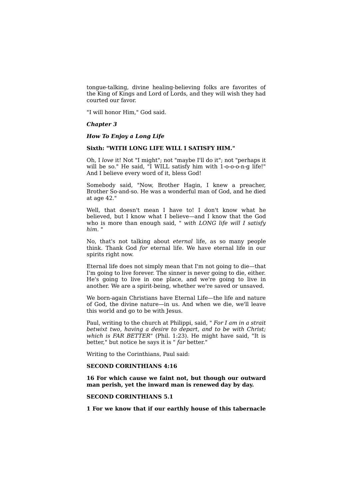tongue-talking, divine healing-believing folks are favorites of the King of Kings and Lord of Lords, and they will wish they had courted our favor.

"I will honor Him," God said.

## *Chapter 3*

## *How To Enjoy a Long Life*

### **Sixth: "WITH LONG LIFE WILL I SATISFY HIM."**

Oh, I *love* it! Not "I might"; not "maybe I'll do it"; not "perhaps it will be so." He said, "I WILL satisfy him with 1-o-o-o-n-q life!" And I believe every word of it, bless God!

Somebody said, "Now, Brother Hagin, I knew a preacher, Brother So-and-so. He was a wonderful man of God, and he died at age 42."

Well, that doesn't mean I have to! I don't know what he believed, but I know what I believe—and I know that the God who is more than enough said, " *with LONG life will I satisfy him.* "

No, that's not talking about *eternal* life, as so many people think. Thank God *for* eternal life. We have eternal life in our spirits right now.

Eternal life does not simply mean that I'm not going to die—that I'm going to live forever. The sinner is never going to die, either. He's going to live in one place, and we're going to live in another. We are a spirit-being, whether we're saved or unsaved.

We born-again Christians have Eternal Life—the life and nature of God, the divine nature—in us. And when we die, we'll leave this world and go to be with Jesus.

Paul, writing to the church at Philippi, said, " *For I am in a strait betwixt two, having a desire to depart, and to be with Christ; which is FAR BETTER*" (Phil. 1:23). He might have said, "It is better," but notice he says it is " *far* better."

Writing to the Corinthians, Paul said:

# **SECOND CORINTHIANS 4:16**

**16 For which cause we faint not, but though our outward man perish, yet the inward man is renewed day by day.**

## **SECOND CORINTHIANS 5.1**

**1 For we know that if our earthly house of this tabernacle**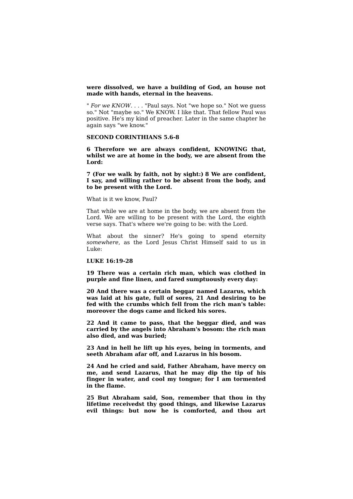## **were dissolved, we have a building of God, an house not made with hands, eternal in the heavens.**

" *For we KNOW*. . . . "Paul says. Not "we hope so." Not we guess so." Not "maybe so." We KNOW. I like that. That fellow Paul was positive. He's my kind of preacher. Later in the same chapter he again says "we know."

# **SECOND CORINTHIANS 5.6-8**

**6 Therefore we are always confident, KNOWING that, whilst we are at home in the body, we are absent from the Lord:**

**7 (For we walk by faith, not by sight:) 8 We are confident, I say, and willing rather to be absent from the body, and to be present with the Lord.**

#### What is it we know, Paul?

That while we are at home in the body, we are absent from the Lord. We are willing to be present with the Lord, the eighth verse says. That's where we're going to be: with the Lord.

What about the sinner? He's going to spend eternity *somewhere*, as the Lord Jesus Christ Himself said to us in Luke:

#### **LUKE 16:19-28**

**19 There was a certain rich man, which was clothed in purple and fine linen, and fared sumptuously every day:**

**20 And there was a certain beggar named Lazarus, which was laid at his gate, full of sores, 21 And desiring to be fed with the crumbs which fell from the rich man's table: moreover the dogs came and licked his sores.**

**22 And it came to pass, that the beggar died, and was carried by the angels into Abraham's bosom: the rich man also died, and was buried;**

**23 And in hell he lift up his eyes, being in torments, and seeth Abraham afar off, and I.azarus in his bosom.**

**24 And he cried and said, Father Abraham, have mercy on me, and send Lazarus, that he may dip the tip of his finger in water, and cool my tongue; for I am tormented in the flame.**

**25 But Abraham said, Son, remember that thou in thy lifetime receivedst thy good things, and likewise Lazarus evil things: but now he is comforted, and thou art**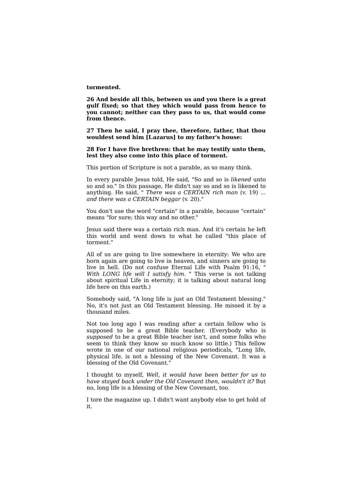#### **tormented.**

**26 And beside all this, between us and you there is a great gulf fixed; so that they which would pass from hence to you cannot; neither can they pass to us, that would come from thence.**

**27 Then he said, I pray thee, therefore, father, that thou wouldest send him [I.azarus] to my father's house:**

#### **28 For I have five brethren: that he may testify unto them, lest they also come into this place of torment.**

This portion of Scripture is not a parable, as so many think.

In every parable Jesus told, He said, "So and so is *likened* unto so and so." In this passage, He didn't say so and so is likened to anything. He said, " *There was a CERTAIN rich man* (v. 19) *... and there was a CERTAIN beggar* (v. 20)."

You don't use the word "certain" in a parable, because "certain" means "for sure; this way and no other."

Jesus said there was a certain rich man. And it's certain he left this world and went down to what he called "this place of torment."

All of us are going to live somewhere in eternity: We who are born again are going to live in heaven, and sinners are going to live in hell. (Do not confuse Eternal Life with Psalm 91:16, " *With LONG life will I satisfy him.* " This verse is not talking about spiritual Life in eternity; it is talking about natural long life here on this earth.)

Somebody said, "A long life is just an Old Testament blessing." No, it's not just an Old Testament blessing. He missed it by a thousand miles.

Not too long ago I was reading after a certain fellow who is supposed to be a great Bible teacher. (Everybody who is *supposed* to be a great Bible teacher isn't, and some folks who seem to think they know so much know so little.) This fellow wrote in one of our national religious periodicals, "Long life, physical life, is not a blessing of the New Covenant. It was a blessing of the Old Covenant."

I thought to myself, *Well, it would have been better for us to have stayed back under the Old Covenant then, wouldn't it?* But no, long life is a blessing of the New Covenant, too.

I tore the magazine up. I didn't want anybody else to get hold of it.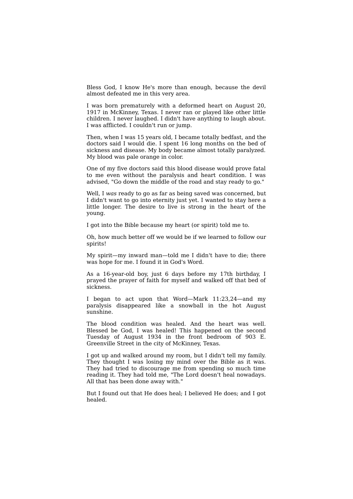Bless God, I know He's more than enough, because the devil almost defeated me in this very area.

I was born prematurely with a deformed heart on August 20, 1917 in McKinney, Texas. I never ran or played like other little children. I never laughed. I didn't have anything to laugh about. I was afflicted. I couldn't run or jump.

Then, when I was 15 years old, I became totally bedfast, and the doctors said I would die. I spent 16 long months on the bed of sickness and disease. My body became almost totally paralyzed. My blood was pale orange in color.

One of my five doctors said this blood disease would prove fatal to me even without the paralysis and heart condition. I was advised, "Go down the middle of the road and stay ready to go."

Well, I *was* ready to go as far as being saved was concerned, but I didn't want to go into eternity just yet. I wanted to stay here a little longer. The desire to live is strong in the heart of the young.

I got into the Bible because my heart (or spirit) told me to.

Oh, how much better off we would be if we learned to follow our spirits!

My spirit—my inward man—told me I didn't have to die; there was hope for me. I found it in God's Word.

As a 16-year-old boy, just 6 days before my 17th birthday, I prayed the prayer of faith for myself and walked off that bed of sickness.

I began to act upon that Word—Mark 11:23,24—and my paralysis disappeared like a snowball in the hot August sunshine.

The blood condition was healed. And the heart was well. Blessed be God, I was healed! This happened on the second Tuesday of August 1934 in the front bedroom of 903 E. Greenville Street in the city of McKinney, Texas.

I got up and walked around my room, but I didn't tell my family. They thought I was losing my mind over the Bible as it was. They had tried to discourage me from spending so much time reading it. They had told me, "The Lord doesn't heal nowadays. All that has been done away with."

But I found out that He does heal; I believed He does; and I got healed.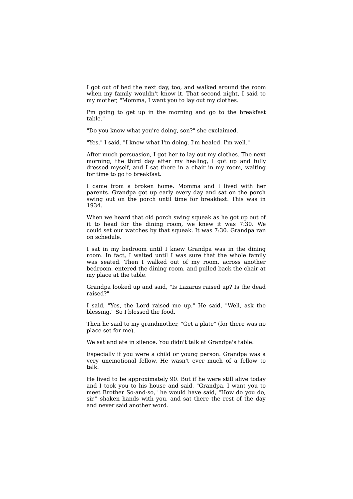I got out of bed the next day, too, and walked around the room when my family wouldn't know it. That second night, I said to my mother, "Momma, I want you to lay out my clothes.

I'm going to get up in the morning and go to the breakfast table."

"Do you know what you're doing, son?" she exclaimed.

"Yes," I said. "I know what I'm doing. I'm healed. I'm well."

After much persuasion, I got her to lay out my clothes. The next morning, the third day after my healing, I got up and fully dressed myself, and I sat there in a chair in my room, waiting for time to go to breakfast.

I came from a broken home. Momma and I lived with her parents. Grandpa got up early every day and sat on the porch swing out on the porch until time for breakfast. This was in 1934.

When we heard that old porch swing squeak as he got up out of it to head for the dining room, we knew it was 7:30. We could set our watches by that squeak. It was 7:30. Grandpa ran on schedule.

I sat in my bedroom until I knew Grandpa was in the dining room. In fact, I waited until I was sure that the whole family was seated. Then I walked out of my room, across another bedroom, entered the dining room, and pulled back the chair at my place at the table.

Grandpa looked up and said, "Is Lazarus raised up? Is the dead raised?"

I said, "Yes, the Lord raised me up." He said, "Well, ask the blessing." So I blessed the food.

Then he said to my grandmother, "Get a plate" (for there was no place set for me).

We sat and ate in silence. You didn't talk at Grandpa's table.

Especially if you were a child or young person. Grandpa was a very unemotional fellow. He wasn't ever much of a fellow to talk.

He lived to be approximately 90. But if he were still alive today and I took you to his house and said, "Grandpa, I want you to meet Brother So-and-so," he would have said, "How do you do, sir," shaken hands with you, and sat there the rest of the day and never said another word.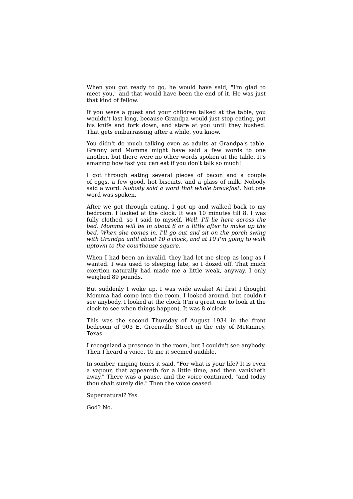When you got ready to go, he would have said, "I'm glad to meet you," and that would have been the end of it. He was just that kind of fellow.

If you were a guest and your children talked at the table, you wouldn't last long, because Grandpa would just stop eating, put his knife and fork down, and stare at you until they hushed. That gets embarrassing after a while, you know.

You didn't do much talking even as adults at Grandpa's table. Granny and Momma might have said a few words to one another, but there were no other words spoken at the table. It's amazing how fast you can eat if you don't talk so much!

I got through eating several pieces of bacon and a couple of eggs, a few good, hot biscuits, and a glass of milk. Nobody said a word. *Nobody said a word that whole breakfast.* Not one word was spoken.

After we got through eating, I got up and walked back to my bedroom. I looked at the clock. It was 10 minutes till 8. I was fully clothed, so I said to myself, *Well, I'll lie here across the bed. Momma will be in about 8 or a little after to make up the bed. When she comes in, I'll go out and sit on the porch swing with Grandpa until about 10 o'clock, and at 10 I'm going to walk uptown to the courthouse square.*

When I had been an invalid, they had let me sleep as long as I wanted. I was used to sleeping late, so I dozed off. That much exertion naturally had made me a little weak, anyway. I only weighed 89 pounds.

But suddenly I woke up. I was wide awake! At first I thought Momma had come into the room. I looked around, but couldn't see anybody. I looked at the clock (I'm a great one to look at the clock to see when things happen). It was 8 o'clock.

This was the second Thursday of August 1934 in the front bedroom of 903 E. Greenville Street in the city of McKinney, Texas.

I recognized a presence in the room, but I couldn't see anybody. Then I heard a voice. To me it seemed audible.

In somber, ringing tones it said, "For what is your life? It is even a vapour, that appeareth for a little time, and then vanisheth away." There was a pause, and the voice continued, "and today thou shalt surely die." Then the voice ceased.

Supernatural? Yes.

God? No.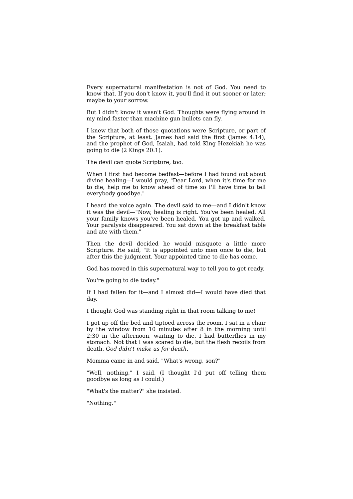Every supernatural manifestation is not of God. You need to know that. If you don't know it, you'll find it out sooner or later; maybe to your sorrow.

But I didn't know it wasn't God. Thoughts were flying around in my mind faster than machine gun bullets can fly.

I knew that both of those quotations were Scripture, or part of the Scripture, at least. James had said the first (James 4:14), and the prophet of God, Isaiah, had told King Hezekiah he was going to die (2 Kings 20:1).

The devil can quote Scripture, too.

When I first had become bedfast—before I had found out about divine healing—I would pray, "Dear Lord, when it's time for me to die, help me to know ahead of time so I'll have time to tell everybody goodbye."

I heard the voice again. The devil said to me—and I didn't know it was the devil—"Now, healing is right. You've been healed. All your family knows you've been healed. You got up and walked. Your paralysis disappeared. You sat down at the breakfast table and ate with them."

Then the devil decided he would misquote a little more Scripture. He said, "It is appointed unto men once to die, but after this the judgment. Your appointed time to die has come.

God has moved in this supernatural way to tell you to get ready.

You're going to die today."

If I had fallen for it—and I almost did—I would have died that day.

I thought God was standing right in that room talking to me!

I got up off the bed and tiptoed across the room. I sat in a chair by the window from 10 minutes after 8 in the morning until 2:30 in the afternoon, waiting to die. I had butterflies in my stomach. Not that I was scared to die, but the flesh recoils from death. *God didn't make us for death*.

Momma came in and said, "What's wrong, son?"

"Well, nothing," I said. (I thought I'd put off telling them goodbye as long as I could.)

"What's the matter?" she insisted.

"Nothing."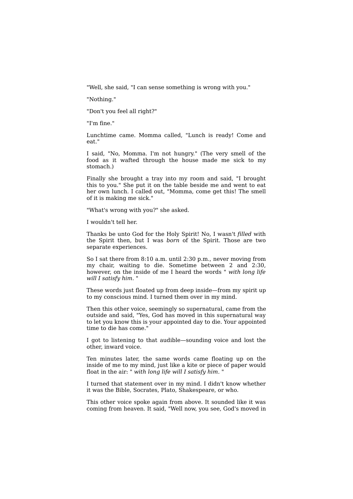"Well, she said, "I can sense something is wrong with you."

"Nothing."

"Don't you feel all right?"

"I'm fine."

Lunchtime came. Momma called, "Lunch is ready! Come and eat."

I said, "No, Momma. I'm not hungry." (The very smell of the food as it wafted through the house made me sick to my stomach.)

Finally she brought a tray into my room and said, "I brought this to you." She put it on the table beside me and went to eat her own lunch. I called out, "Momma, come get this! The smell of it is making me sick."

"What's wrong with you?" she asked.

I wouldn't tell her.

Thanks be unto God for the Holy Spirit! No, I wasn't *filled* with the Spirit then, but I was *born* of the Spirit. Those are two separate experiences.

So I sat there from 8:10 a.m. until 2:30 p.m., never moving from my chair, waiting to die. Sometime between 2 and 2:30, however, on the inside of me I heard the words " *with long life will I satisfy him.* "

These words just floated up from deep inside—from my spirit up to my conscious mind. I turned them over in my mind.

Then this other voice, seemingly so supernatural, came from the outside and said, "Yes, God has moved in this supernatural way to let you know this is your appointed day to die. Your appointed time to die has come."

I got to listening to that audible—sounding voice and lost the other, inward voice.

Ten minutes later, the same words came floating up on the inside of me to my mind, just like a kite or piece of paper would float in the air: " *with long life will I satisfy him.* "

I turned that statement over in my mind. I didn't know whether it was the Bible, Socrates, Plato, Shakespeare, or who.

This other voice spoke again from above. It sounded like it was coming from heaven. It said, "Well now, you see, God's moved in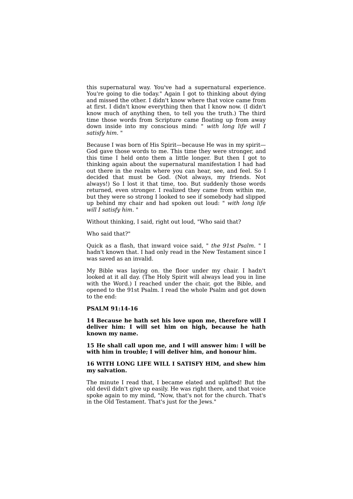this supernatural way. You've had a supernatural experience. You're going to die today." Again I got to thinking about dying and missed the other. I didn't know where that voice came from at first. I didn't know everything then that I know now. (I didn't know much of anything then, to tell you the truth.) The third time those words from Scripture came floating up from away down inside into my conscious mind: " *with long life will I satisfy him.* "

Because I was born of His Spirit—because He was in my spirit— God gave those words to me. This time they were stronger, and this time I held onto them a little longer. But then I got to thinking again about the supernatural manifestation I had had out there in the realm where you can hear, see, and feel. So I decided that must be God. (Not always, my friends. Not always!) So I lost it that time, too. But suddenly those words returned, even stronger. I realized they came from within me, but they were so strong I looked to see if somebody had slipped up behind my chair and had spoken out loud: " *with long life will I satisfy him.* "

Without thinking, I said, right out loud, "Who said that?

Who said that?"

Quick as a flash, that inward voice said, " *the 91st Psalm.* " I hadn't known that. I had only read in the New Testament since I was saved as an invalid.

My Bible was laying on. the floor under my chair. I hadn't looked at it all day. (The Holy Spirit will always lead you in line with the Word.) I reached under the chair, got the Bible, and opened to the 91st Psalm. I read the whole Psalm and got down to the end:

## **PSALM 91:14-16**

**14 Because he hath set his love upon me, therefore will I deliver him: I will set him on high, because he hath known my name.**

**15 He shall call upon me, and I will answer him: I will be with him in trouble; I will deliver him, and honour him.**

## **16 WITH LONG LIFE WILL I SATISFY HIM, and shew him my salvation.**

The minute I read that, I became elated and uplifted! But the old devil didn't give up easily. He was right there, and that voice spoke again to my mind, "Now, that's not for the church. That's in the Old Testament. That's just for the Jews."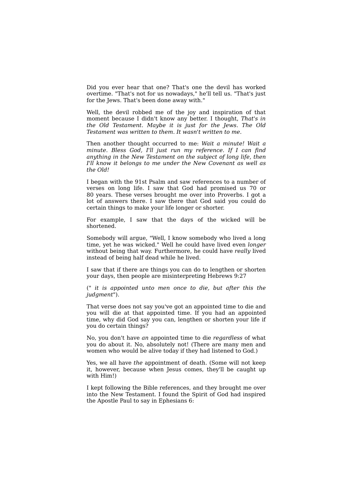Did you ever hear that one? That's one the devil has worked overtime. "That's not for us nowadays," he'll tell us. "That's just for the Jews. That's been done away with."

Well, the devil robbed me of the joy and inspiration of that moment because I didn't know any better. I thought, *That's in the Old Testament. Maybe it is just for the Jews. The Old Testament was written to them. It wasn't written to me.*

Then another thought occurred to me: *Wait a minute! Wait a minute. Bless God, I'll just run my reference. If I can find anything in the New Testament on the subject of long life, then I'll know it belongs to me under the New Covenant as well as the Old!*

I began with the 91st Psalm and saw references to a number of verses on long life. I saw that God had promised us 70 or 80 years. These verses brought me over into Proverbs. I got a lot of answers there. I saw there that God said you could do certain things to make your life longer or shorter.

For example, I saw that the days of the wicked will be shortened.

Somebody will argue, "Well, I know somebody who lived a long time, yet he was wicked." Well he could have lived even *longer* without being that way. Furthermore, he could have *really* lived instead of being half dead while he lived.

I saw that if there are things you can do to lengthen or shorten your days, then people are misinterpreting Hebrews 9:27

(" *it is appointed unto men once to die, but after this the judgment*").

That verse does not say you've got an appointed time to die and you will die at that appointed time. If you had an appointed time, why did God say you can, lengthen or shorten your life if you do certain things?

No, you don't have *an* appointed time to die *regardless* of what you do about it. No, absolutely not! (There are many men and women who would be alive today if they had listened to God.)

Yes, we all have *the* appointment of death. (Some will not keep it, however, because when Jesus comes, they'll be caught up with Him!)

I kept following the Bible references, and they brought me over into the New Testament. I found the Spirit of God had inspired the Apostle Paul to say in Ephesians 6: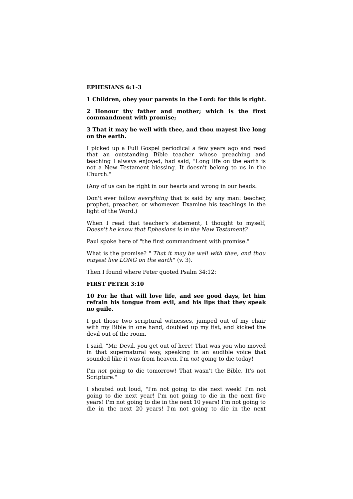## **EPHESIANS 6:1-3**

**1 Children, obey your parents in the Lord: for this is right.**

**2 Honour thy father and mother; which is the first commandment with promise;**

**3 That it may be well with thee, and thou mayest live long on the earth.**

I picked up a Full Gospel periodical a few years ago and read that an outstanding Bible teacher whose preaching and teaching I always enjoyed, had said, "Long life on the earth is not a New Testament blessing. It doesn't belong to us in the Church."

(Any of us can be right in our hearts and wrong in our heads.

Don't ever follow *everything* that is said by any man: teacher, prophet, preacher, or whomever. Examine his teachings in the light of the Word.)

When I read that teacher's statement, I thought to myself, *Doesn't he know that Ephesians is in the New Testament?*

Paul spoke here of "the first commandment with promise."

What is the promise? " *That it may be well with thee, and thou mayest live LONG on the earth*" (v. 3).

Then I found where Peter quoted Psalm 34:12:

## **FIRST PETER 3:10**

# **10 For he that will love life, and see good days, let him refrain his tongue from evil, and his lips that they speak no guile.**

I got those two scriptural witnesses, jumped out of my chair with my Bible in one hand, doubled up my fist, and kicked the devil out of the room.

I said, "Mr. Devil, you get out of here! That was you who moved in that supernatural way, speaking in an audible voice that sounded like it was from heaven. I'm *not* going to die today!

I'm *not* going to die tomorrow! That wasn't the Bible. It's not Scripture."

I shouted out loud, "I'm not going to die next week! I'm not going to die next year! I'm not going to die in the next five years! I'm not going to die in the next 10 years! I'm not going to die in the next 20 years! I'm not going to die in the next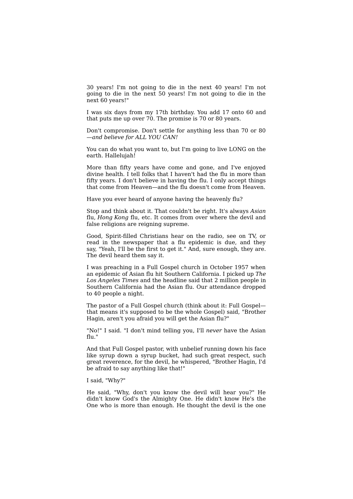30 years! I'm not going to die in the next 40 years! I'm not going to die in the next 50 years! I'm not going to die in the next 60 years!"

I was six days from my 17th birthday. You add 17 onto 60 and that puts me up over 70. The promise is 70 or 80 years.

Don't compromise. Don't settle for anything less than 70 or 80 —*and believe for ALL YOU CAN!*

You can do what you want to, but I'm going to live LONG on the earth. Hallelujah!

More than fifty years have come and gone, and I've enjoyed divine health. I tell folks that I haven't had the flu in more than fifty years. I don't believe in having the flu. I only accept things that come from Heaven—and the flu doesn't come from Heaven.

Have you ever heard of anyone having the heavenly flu?

Stop and think about it. That couldn't be right. It's always *Asian* flu, *Hong Kong* flu, etc. It comes from over where the devil and false religions are reigning supreme.

Good, Spirit-filled Christians hear on the radio, see on TV, or read in the newspaper that a flu epidemic is due, and they say, "Yeah, I'll be the first to get it." And, sure enough, they are. The devil heard them say it.

I was preaching in a Full Gospel church in October 1957 when an epidemic of Asian flu hit Southern California. I picked up *The Los Angeles Times* and the headline said that 2 million people in Southern California had the Asian flu. Our attendance dropped to 40 people a night.

The pastor of a Full Gospel church (think about it: Full Gospel that means it's supposed to be the whole Gospel) said, "Brother Hagin, aren't you afraid you will get the Asian flu?"

"No!" I said. "I don't mind telling you, I'll *never* have the Asian flu."

And that Full Gospel pastor, with unbelief running down his face like syrup down a syrup bucket, had such great respect, such great reverence, for the devil, he whispered, "Brother Hagin, I'd be afraid to say anything like that!"

I said, "Why?"

He said, "Why, don't you know the devil will hear you?" He didn't know God's the Almighty One. He didn't know He's the One who is more than enough. He thought the devil is the one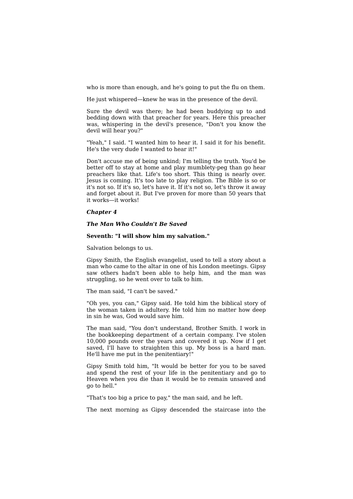who is more than enough, and he's going to put the flu on them.

He just whispered—knew he was in the presence of the devil.

Sure the devil was there; he had been buddying up to and bedding down with that preacher for years. Here this preacher was, whispering in the devil's presence, "Don't you know the devil will hear you?"

"Yeah," I said. "I wanted him to hear it. I said it for his benefit. He's the very dude I wanted to hear it!"

Don't accuse me of being unkind; I'm telling the truth. You'd be better off to stay at home and play mumblety-peg than go hear preachers like that. Life's too short. This thing is nearly over. Jesus is coming. It's too late to play religion. The Bible is so or it's not so. If it's so, let's have it. If it's not so, let's throw it away and forget about it. But I've proven for more than 50 years that it works—it works!

### *Chapter 4*

# *The Man Who Couldn't Be Saved*

## **Seventh: "I will show him my salvation."**

Salvation belongs to us.

Gipsy Smith, the English evangelist, used to tell a story about a man who came to the altar in one of his London meetings. Gipsy saw others hadn't been able to help him, and the man was struggling, so he went over to talk to him.

The man said, "I can't be saved."

"Oh yes, you can," Gipsy said. He told him the biblical story of the woman taken in adultery. He told him no matter how deep in sin he was, God would save him.

The man said, "You don't understand, Brother Smith. I work in the bookkeeping department of a certain company. I've stolen 10,000 pounds over the years and covered it up. Now if I get saved, I'll have to straighten this up. My boss is a hard man. He'll have me put in the penitentiary!"

Gipsy Smith told him, "It would be better for you to be saved and spend the rest of your life in the penitentiary and go to Heaven when you die than it would be to remain unsaved and go to hell."

"That's too big a price to pay," the man said, and he left.

The next morning as Gipsy descended the staircase into the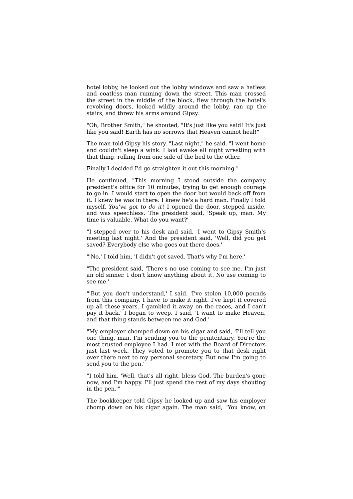hotel lobby, he looked out the lobby windows and saw a hatless and coatless man running down the street. This man crossed the street in the middle of the block, flew through the hotel's revolving doors, looked wildly around the lobby, ran up the stairs, and threw his arms around Gipsy.

"Oh, Brother Smith," he shouted, "It's just like you said! It's just like you said! Earth has no sorrows that Heaven cannot heal!"

The man told Gipsy his story. "Last night," he said, "I went home and couldn't sleep a wink. I laid awake all night wrestling with that thing, rolling from one side of the bed to the other.

Finally I decided I'd go straighten it out this morning."

He continued, "This morning I stood outside the company president's office for 10 minutes, trying to get enough courage to go in. I would start to open the door but would back off from it. I knew he was in there. I knew he's a hard man. Finally I told myself, *You've got to do it*! I opened the door, stepped inside, and was speechless. The president said, 'Speak up, man. My time is valuable. What do you want?'

"I stepped over to his desk and said, 'I went to Gipsy Smith's meeting last night.' And the president said, 'Well, did you get saved? Everybody else who goes out there does.'

"'No,' I told him, 'I didn't get saved. That's why I'm here.'

"The president said, 'There's no use coming to see me. I'm just an old sinner. I don't know anything about it. No use coming to see me.'

"'But you don't understand,' I said. 'I've stolen 10,000 pounds from this company. I have to make it right. I've kept it covered up all these years. I gambled it away on the races, and I can't pay it back.' I began to weep. I said, 'I want to make Heaven, and that thing stands between me and God.'

"My employer chomped down on his cigar and said, 'I'll tell you one thing, man. I'm sending you to the penitentiary. You're the most trusted employee I had. I met with the Board of Directors just last week. They voted to promote you to that desk right over there next to my personal secretary. But now I'm going to send you to the pen.'

"I told him, 'Well, that's all right, bless God. The burden's gone now, and I'm happy. I'll just spend the rest of my days shouting in the pen.'"

The bookkeeper told Gipsy he looked up and saw his employer chomp down on his cigar again. The man said, "You know, on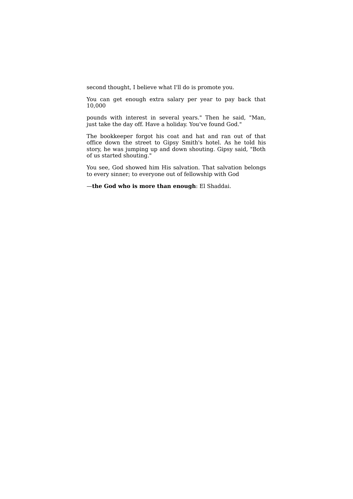second thought, I believe what I'll do is promote you.

You can get enough extra salary per year to pay back that 10,000

pounds with interest in several years." Then he said, "Man, just take the day off. Have a holiday. You've found God."

The bookkeeper forgot his coat and hat and ran out of that office down the street to Gipsy Smith's hotel. As he told his story, he was jumping up and down shouting. Gipsy said, "Both of us started shouting."

You see, God showed him His salvation. That salvation belongs to every sinner; to everyone out of fellowship with God

—**the God who is more than enough**: El Shaddai.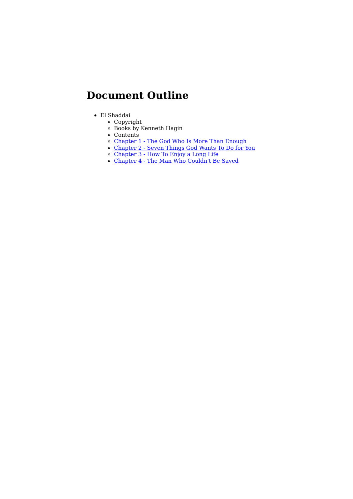# **Document Outline**

- El Shaddai
	- Copyright
	- Books by Kenneth Hagin
	- Contents
	- Chapter 1 The God Who Is More Than Enough
	- Chapter 2 Seven Things God Wants To Do for You
	- Chapter 3 How To Enjoy a Long Life
	- Chapter 4 The Man Who Couldn't Be Saved